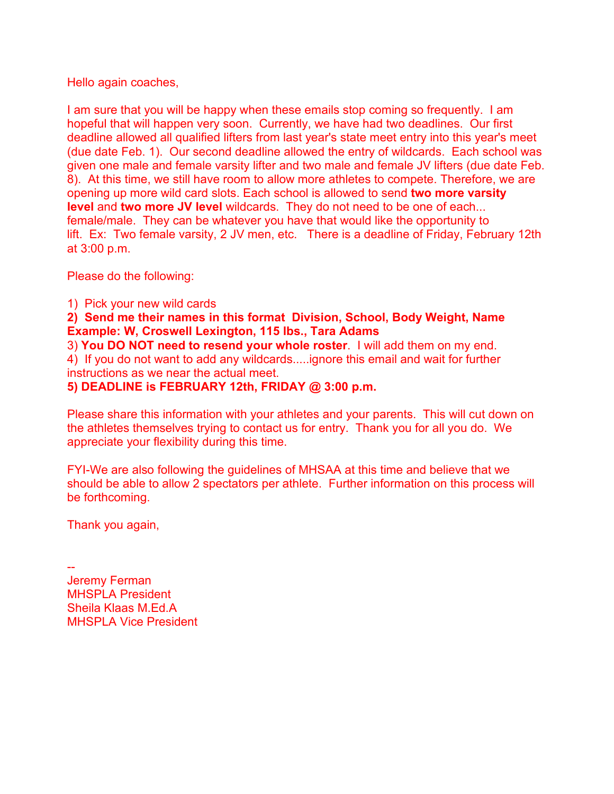Hello again coaches,

I am sure that you will be happy when these emails stop coming so frequently. I am hopeful that will happen very soon. Currently, we have had two deadlines. Our first deadline allowed all qualified lifters from last year's state meet entry into this year's meet (due date Feb. 1). Our second deadline allowed the entry of wildcards. Each school was given one male and female varsity lifter and two male and female JV lifters (due date Feb. 8). At this time, we still have room to allow more athletes to compete. Therefore, we are opening up more wild card slots. Each school is allowed to send **two more varsity level** and **two more JV level** wildcards. They do not need to be one of each... female/male. They can be whatever you have that would like the opportunity to lift. Ex: Two female varsity, 2 JV men, etc. There is a deadline of Friday, February 12th at 3:00 p.m.

Please do the following:

1) Pick your new wild cards

**2) Send me their names in this format Division, School, Body Weight, Name Example: W, Croswell Lexington, 115 lbs., Tara Adams**

3) **You DO NOT need to resend your whole roster**. I will add them on my end. 4) If you do not want to add any wildcards.....ignore this email and wait for further instructions as we near the actual meet.

**5) DEADLINE is FEBRUARY 12th, FRIDAY @ 3:00 p.m.**

Please share this information with your athletes and your parents. This will cut down on the athletes themselves trying to contact us for entry. Thank you for all you do. We appreciate your flexibility during this time.

FYI-We are also following the guidelines of MHSAA at this time and believe that we should be able to allow 2 spectators per athlete. Further information on this process will be forthcoming.

Thank you again,

-- Jeremy Ferman MHSPLA President Sheila Klaas M.Ed.A MHSPLA Vice President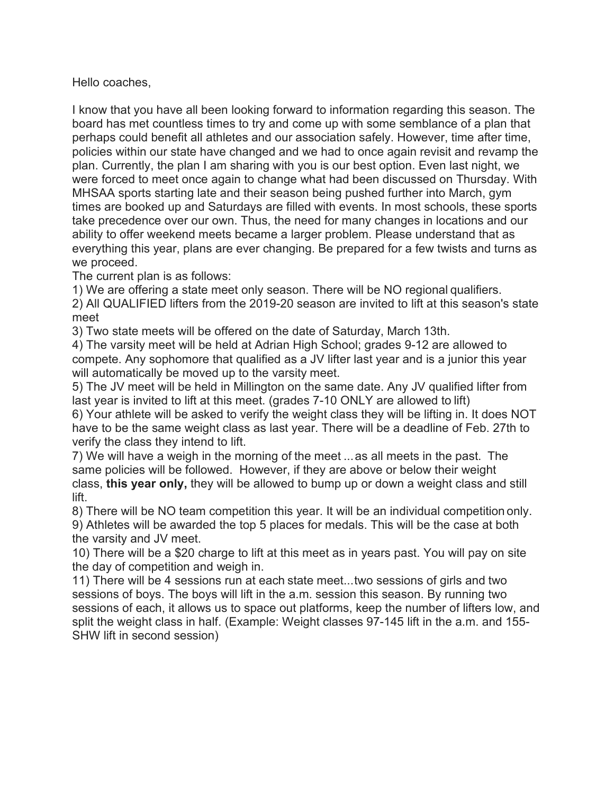Hello coaches,

I know that you have all been looking forward to information regarding this season. The board has met countless times to try and come up with some semblance of a plan that perhaps could benefit all athletes and our association safely. However, time after time, policies within our state have changed and we had to once again revisit and revamp the plan. Currently, the plan I am sharing with you is our best option. Even last night, we were forced to meet once again to change what had been discussed on Thursday. With MHSAA sports starting late and their season being pushed further into March, gym times are booked up and Saturdays are filled with events. In most schools, these sports take precedence over our own. Thus, the need for many changes in locations and our ability to offer weekend meets became a larger problem. Please understand that as everything this year, plans are ever changing. Be prepared for a few twists and turns as we proceed.

The current plan is as follows:

1) We are offering a state meet only season. There will be NO regional qualifiers.

2) All QUALIFIED lifters from the 2019-20 season are invited to lift at this season's state meet

3) Two state meets will be offered on the date of Saturday, March 13th.

4) The varsity meet will be held at Adrian High School; grades 9-12 are allowed to compete. Any sophomore that qualified as a JV lifter last year and is a junior this year will automatically be moved up to the varsity meet.

5) The JV meet will be held in Millington on the same date. Any JV qualified lifter from last year is invited to lift at this meet. (grades 7-10 ONLY are allowed to lift)

6) Your athlete will be asked to verify the weight class they will be lifting in. It does NOT have to be the same weight class as last year. There will be a deadline of Feb. 27th to verify the class they intend to lift.

7) We will have a weigh in the morning of the meet ...as all meets in the past. The same policies will be followed. However, if they are above or below their weight class, **this year only,** they will be allowed to bump up or down a weight class and still lift.

8) There will be NO team competition this year. It will be an individual competition only. 9) Athletes will be awarded the top 5 places for medals. This will be the case at both

the varsity and JV meet.

10) There will be a \$20 charge to lift at this meet as in years past. You will pay on site the day of competition and weigh in.

11) There will be 4 sessions run at each state meet...two sessions of girls and two sessions of boys. The boys will lift in the a.m. session this season. By running two sessions of each, it allows us to space out platforms, keep the number of lifters low, and split the weight class in half. (Example: Weight classes 97-145 lift in the a.m. and 155- SHW lift in second session)